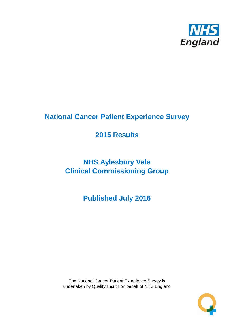

# **National Cancer Patient Experience Survey**

# **2015 Results**

# **NHS Aylesbury Vale Clinical Commissioning Group**

**Published July 2016**

The National Cancer Patient Experience Survey is undertaken by Quality Health on behalf of NHS England

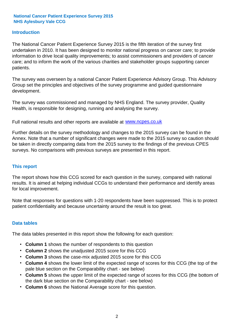#### **Introduction**

The National Cancer Patient Experience Survey 2015 is the fifth iteration of the survey first undertaken in 2010. It has been designed to monitor national progress on cancer care; to provide information to drive local quality improvements; to assist commissioners and providers of cancer care; and to inform the work of the various charities and stakeholder groups supporting cancer patients.

The survey was overseen by a national Cancer Patient Experience Advisory Group. This Advisory Group set the principles and objectives of the survey programme and guided questionnaire development.

The survey was commissioned and managed by NHS England. The survey provider, Quality Health, is responsible for designing, running and analysing the survey.

Full national results and other reports are available at www.ncpes.co.uk

Further details on the survey methodology and changes to the 2015 survey can be found in the Annex. Note that a number of significant changes were made to the 2015 survey so caution should be taken in directly comparing data from the 2015 survey to the findings of the previous CPES surveys. No comparisons with previous surveys are presented in this report.

#### **This report**

The report shows how this CCG scored for each question in the survey, compared with national results. It is aimed at helping individual CCGs to understand their performance and identify areas for local improvement.

Note that responses for questions with 1-20 respondents have been suppressed. This is to protect patient confidentiality and because uncertainty around the result is too great.

#### **Data tables**

The data tables presented in this report show the following for each question:

- **Column 1** shows the number of respondents to this question
- **Column 2** shows the unadjusted 2015 score for this CCG
- **Column 3** shows the case-mix adjusted 2015 score for this CCG
- **Column 4** shows the lower limit of the expected range of scores for this CCG (the top of the pale blue section on the Comparability chart - see below)
- **Column 5** shows the upper limit of the expected range of scores for this CCG (the bottom of the dark blue section on the Comparability chart - see below)
- **Column 6** shows the National Average score for this question.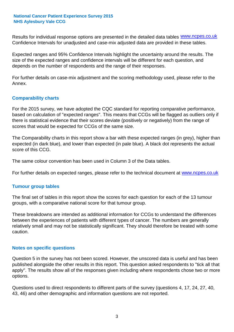Results for individual response options are presented in the detailed data tables **WWW.ncpes.co.uk** Confidence Intervals for unadjusted and case-mix adjusted data are provided in these tables.

Expected ranges and 95% Confidence Intervals highlight the uncertainty around the results. The size of the expected ranges and confidence intervals will be different for each question, and depends on the number of respondents and the range of their responses.

For further details on case-mix adjustment and the scoring methodology used, please refer to the Annex.

#### **Comparability charts**

For the 2015 survey, we have adopted the CQC standard for reporting comparative performance, based on calculation of "expected ranges". This means that CCGs will be flagged as outliers only if there is statistical evidence that their scores deviate (positively or negatively) from the range of scores that would be expected for CCGs of the same size.

The Comparability charts in this report show a bar with these expected ranges (in grey), higher than expected (in dark blue), and lower than expected (in pale blue). A black dot represents the actual score of this CCG.

The same colour convention has been used in Column 3 of the Data tables.

For further details on expected ranges, please refer to the technical document at **www.ncpes.co.uk** 

#### **Tumour group tables**

The final set of tables in this report show the scores for each question for each of the 13 tumour groups, with a comparative national score for that tumour group.

These breakdowns are intended as additional information for CCGs to understand the differences between the experiences of patients with different types of cancer. The numbers are generally relatively small and may not be statistically significant. They should therefore be treated with some caution.

#### **Notes on specific questions**

Question 5 in the survey has not been scored. However, the unscored data is useful and has been published alongside the other results in this report. This question asked respondents to "tick all that apply". The results show all of the responses given including where respondents chose two or more options.

Questions used to direct respondents to different parts of the survey (questions 4, 17, 24, 27, 40, 43, 46) and other demographic and information questions are not reported.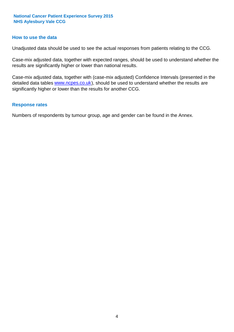#### **How to use the data**

Unadjusted data should be used to see the actual responses from patients relating to the CCG.

Case-mix adjusted data, together with expected ranges, should be used to understand whether the results are significantly higher or lower than national results.

Case-mix adjusted data, together with (case-mix adjusted) Confidence Intervals (presented in the detailed data tables **www.ncpes.co.uk**), should be used to understand whether the results are significantly higher or lower than the results for another CCG.

#### **Response rates**

Numbers of respondents by tumour group, age and gender can be found in the Annex.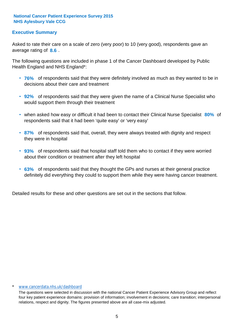#### **Executive Summary**

average rating of 8.6. Asked to rate their care on a scale of zero (very poor) to 10 (very good), respondents gave an

The following questions are included in phase 1 of the Cancer Dashboard developed by Public Health England and NHS England\*:

- **76%** of respondents said that they were definitely involved as much as they wanted to be in decisions about their care and treatment
- **92%** of respondents said that they were given the name of a Clinical Nurse Specialist who would support them through their treatment
- when asked how easy or difficult it had been to contact their Clinical Nurse Specialist 80% of respondents said that it had been 'quite easy' or 'very easy'
- **87%** of respondents said that, overall, they were always treated with dignity and respect they were in hospital
- **93%** of respondents said that hospital staff told them who to contact if they were worried about their condition or treatment after they left hospital
- **63%** of respondents said that they thought the GPs and nurses at their general practice definitely did everything they could to support them while they were having cancer treatment.

Detailed results for these and other questions are set out in the sections that follow.

#### \* www.cancerdata.nhs.uk/dashboard

The questions were selected in discussion with the national Cancer Patient Experience Advisory Group and reflect four key patient experience domains: provision of information; involvement in decisions; care transition; interpersonal relations, respect and dignity. The figures presented above are all case-mix adjusted.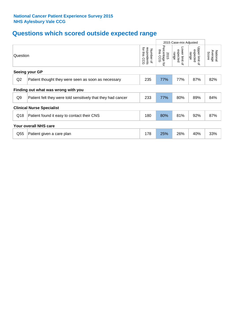## **Questions which scored outside expected range**

|                |                                                              |                                             |                                     | 2015 Case-mix Adjusted              |                                     |                              |  |
|----------------|--------------------------------------------------------------|---------------------------------------------|-------------------------------------|-------------------------------------|-------------------------------------|------------------------------|--|
| Question       |                                                              | for this<br>respondents<br>Number of<br>င်င | Percentage<br>this CCG<br>2015<br>đ | Lower limit of<br>expected<br>range | Upper limit of<br>expected<br>range | National<br>Average<br>Score |  |
|                | Seeing your GP                                               |                                             |                                     |                                     |                                     |                              |  |
| Q2             | Patient thought they were seen as soon as necessary          | 235                                         | 77%                                 | 77%                                 | 87%                                 | 82%                          |  |
|                | Finding out what was wrong with you                          |                                             |                                     |                                     |                                     |                              |  |
| Q <sub>9</sub> | Patient felt they were told sensitively that they had cancer | 233                                         | 77%                                 | 80%                                 | 89%                                 | 84%                          |  |
|                | <b>Clinical Nurse Specialist</b>                             |                                             |                                     |                                     |                                     |                              |  |
| Q18            | Patient found it easy to contact their CNS                   | 180                                         | 80%                                 | 81%                                 | 92%                                 | 87%                          |  |
|                | Your overall NHS care                                        |                                             |                                     |                                     |                                     |                              |  |
| Q55            | Patient given a care plan                                    | 178                                         | 25%                                 | 26%                                 | 40%                                 | 33%                          |  |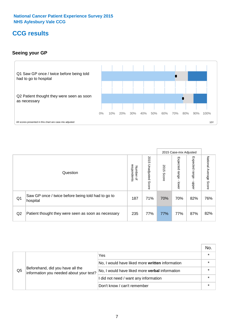### **CCG results**

#### **Seeing your GP**



|    |                                                                |                                         |                             |               | 2015 Case-mix Adjusted     |                            |                        |
|----|----------------------------------------------------------------|-----------------------------------------|-----------------------------|---------------|----------------------------|----------------------------|------------------------|
|    | Question                                                       | respondents<br>Number<br>$\overline{a}$ | 2015<br>Unadjusted<br>Score | 2015<br>Score | Expected<br>range<br>lower | Expected<br>range<br>nbber | National Average Score |
| Q1 | Saw GP once / twice before being told had to go to<br>hospital | 187                                     | 71%                         | 70%           | 70%                        | 82%                        | 76%                    |
| Q2 | Patient thought they were seen as soon as necessary            | 235                                     | 77%                         | 77%           | 77%                        | 87%                        | 82%                    |

|    |                                                                             |                                                 | No. |
|----|-----------------------------------------------------------------------------|-------------------------------------------------|-----|
|    |                                                                             | Yes                                             |     |
| Q5 | Beforehand, did you have all the<br>information you needed about your test? | No, I would have liked more written information |     |
|    |                                                                             | No, I would have liked more verbal information  |     |
|    |                                                                             | I did not need / want any information           |     |
|    |                                                                             | Don't know / can't remember                     |     |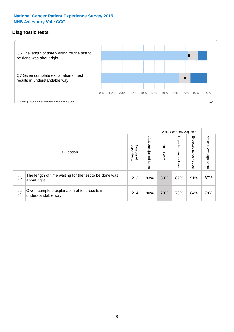#### **Diagnostic tests**



|                |                                                                       |                                   |                             |               | 2015 Case-mix Adjusted  |                         |                           |
|----------------|-----------------------------------------------------------------------|-----------------------------------|-----------------------------|---------------|-------------------------|-------------------------|---------------------------|
|                | Question                                                              | respondents<br>Number<br>$\Omega$ | 2015<br>Unadjusted<br>Score | 2015<br>Score | Expected range<br>lower | Expected range<br>nbber | National Average<br>Score |
| Q <sub>6</sub> | The length of time waiting for the test to be done was<br>about right | 213                               | 83%                         | 83%           | 82%                     | 91%                     | 87%                       |
| Q7             | Given complete explanation of test results in<br>understandable way   | 214                               | 80%                         | 79%           | 73%                     | 84%                     | 79%                       |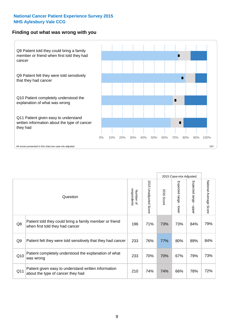#### **Finding out what was wrong with you**



|                |                                                                                            |                          |                          |               | 2015 Case-mix Adjusted                  |                           |                        |
|----------------|--------------------------------------------------------------------------------------------|--------------------------|--------------------------|---------------|-----------------------------------------|---------------------------|------------------------|
|                | Question                                                                                   | respondents<br>Number of | 2015<br>Unadjusted Score | 2015<br>Score | Expected range<br>$\mathbf{I}$<br>lower | Expected range -<br>nbber | National Average Score |
| Q8             | Patient told they could bring a family member or friend<br>when first told they had cancer | 196                      | 71%                      | 73%           | 73%                                     | 84%                       | 79%                    |
| Q <sub>9</sub> | Patient felt they were told sensitively that they had cancer                               | 233                      | 76%                      | 77%           | 80%                                     | 89%                       | 84%                    |
| Q10            | Patient completely understood the explanation of what<br>was wrong                         | 233                      | 70%                      | 70%           | 67%                                     | 79%                       | 73%                    |
| Q11            | Patient given easy to understand written information<br>about the type of cancer they had  | 210                      | 74%                      | 74%           | 66%                                     | 78%                       | 72%                    |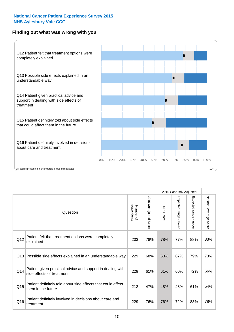#### **Finding out what was wrong with you**



|          |                                                                                         |                          |                          |               |                                         | 2015 Case-mix Adjusted    |                        |
|----------|-----------------------------------------------------------------------------------------|--------------------------|--------------------------|---------------|-----------------------------------------|---------------------------|------------------------|
| Question |                                                                                         | Number of<br>respondents | 2015<br>Unadjusted Score | 2015<br>Score | Expected range<br>$\mathbf{I}$<br>lower | Expected range -<br>nbber | National Average Score |
| Q12      | Patient felt that treatment options were completely<br>explained                        | 203                      | 78%                      | 78%           | 77%                                     | 88%                       | 83%                    |
| Q13      | Possible side effects explained in an understandable way                                | 229                      | 68%                      | 68%           | 67%                                     | 79%                       | 73%                    |
| Q14      | Patient given practical advice and support in dealing with<br>side effects of treatment | 229                      | 61%                      | 61%           | 60%                                     | 72%                       | 66%                    |
| Q15      | Patient definitely told about side effects that could affect<br>them in the future      | 212                      | 47%                      | 48%           | 48%                                     | 61%                       | 54%                    |
| Q16      | Patient definitely involved in decisions about care and<br>treatment                    | 229                      | 76%                      | 76%           | 72%                                     | 83%                       | 78%                    |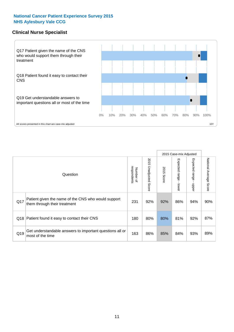#### **Clinical Nurse Specialist**



|     |                                                                                     |                          |                       |               | 2015 Case-mix Adjusted  |                         |                        |
|-----|-------------------------------------------------------------------------------------|--------------------------|-----------------------|---------------|-------------------------|-------------------------|------------------------|
|     | Question                                                                            | respondents<br>Number of | 2015 Unadjusted Score | 2015<br>Score | Expected range<br>lower | Expected range<br>nbber | National Average Score |
| Q17 | Patient given the name of the CNS who would support<br>them through their treatment | 231                      | 92%                   | 92%           | 86%                     | 94%                     | 90%                    |
|     | Q18 Patient found it easy to contact their CNS                                      | 180                      | 80%                   | 80%           | 81%                     | 92%                     | 87%                    |
| Q19 | Get understandable answers to important questions all or<br>most of the time        | 163                      | 86%                   | 85%           | 84%                     | 93%                     | 89%                    |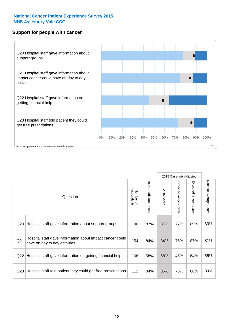#### **Support for people with cancer**



2015 Case-mix Adjusted National Average Score 2015 Unadjusted Score Expected range - lower Expected range - upper National Average Score 2015 Unadjusted Score Expected range - upper Expected range - lower Number of<br>respondents respondents 2015 Score 2015 Score Number of Question Q20 190 87% 87% 77% 89% Hospital staff gave information about support groups 83% Q21 154 84% 84% 75% 87% Hospital staff gave information about impact cancer could have on day to day activities but about impact cancer could a state in the same of the same on day to day activities Q22 Hospital staff gave information on getting financial help  $\left| 108 \right| 58\%$  58%  $\left| 45\% \right| 64\%$  55% Q23 Hospital staff told patient they could get free prescriptions |  $112$  | 84% | 85% | 73% | 88% | 80%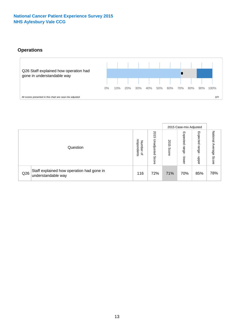### **Operations**



|     |                                                                 |                                         |                             |               | 2015 Case-mix Adjusted     |                           |                           |
|-----|-----------------------------------------------------------------|-----------------------------------------|-----------------------------|---------------|----------------------------|---------------------------|---------------------------|
|     | Question                                                        | respondents<br>Number<br>$\overline{a}$ | 2015<br>Unadjusted<br>Score | 2015<br>Score | Expected<br>range<br>lower | Expected<br>range<br>ddoe | National Average<br>Score |
| Q26 | Staff explained how operation had gone in<br>understandable way | 116                                     | 72%                         | 71%           | 70%                        | 85%                       | 78%                       |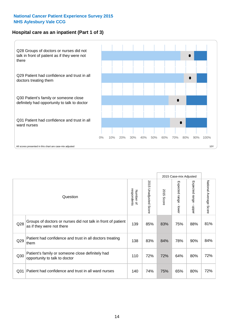#### **Hospital care as an inpatient (Part 1 of 3)**



All scores presented in this chart are case-mix adjusted  $10Y$ 

|                 |                                                                                           |                          |                       |               | 2015 Case-mix Adjusted                  |                                           |                        |
|-----------------|-------------------------------------------------------------------------------------------|--------------------------|-----------------------|---------------|-----------------------------------------|-------------------------------------------|------------------------|
|                 | Question                                                                                  | respondents<br>Number of | 2015 Unadjusted Score | 2015<br>Score | Expected range<br>$\mathbf{r}$<br>lower | Expected range<br>$\blacksquare$<br>nbber | National Average Score |
| Q28             | Groups of doctors or nurses did not talk in front of patient<br>as if they were not there | 139                      | 85%                   | 83%           | 75%                                     | 88%                                       | 81%                    |
| Q29             | Patient had confidence and trust in all doctors treating<br>them                          | 138                      | 83%                   | 84%           | 78%                                     | 90%                                       | 84%                    |
| Q30             | Patient's family or someone close definitely had<br>opportunity to talk to doctor         | 110                      | 72%                   | 72%           | 64%                                     | 80%                                       | 72%                    |
| Q <sub>31</sub> | Patient had confidence and trust in all ward nurses                                       | 140                      | 74%                   | 75%           | 65%                                     | 80%                                       | 72%                    |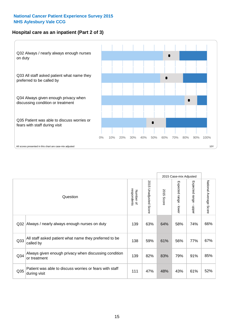#### **Hospital care as an inpatient (Part 2 of 3)**



|                 |                                                                         |                          |                          |               | 2015 Case-mix Adjusted |                           |                           |
|-----------------|-------------------------------------------------------------------------|--------------------------|--------------------------|---------------|------------------------|---------------------------|---------------------------|
|                 | Question                                                                | respondents<br>Number of | 2015 Unadjusted<br>Score | 2015<br>Score | Expected range - lower | Expected range<br>- nbbel | National Average<br>Score |
| Q32             | Always / nearly always enough nurses on duty                            | 139                      | 63%                      | 64%           | 58%                    | 74%                       | 66%                       |
| Q33             | All staff asked patient what name they preferred to be<br>called by     | 138                      | 59%                      | 61%           | 56%                    | 77%                       | 67%                       |
| Q <sub>34</sub> | Always given enough privacy when discussing condition<br>or treatment   | 139                      | 82%                      | 83%           | 79%                    | 91%                       | 85%                       |
| Q35             | Patient was able to discuss worries or fears with staff<br>during visit | 111                      | 47%                      | 48%           | 43%                    | 61%                       | 52%                       |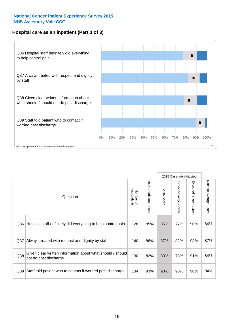#### **Hospital care as an inpatient (Part 3 of 3)**



|                 |                                                                                     |                          |                             |                      | 2015 Case-mix Adjusted                    |                           |                        |
|-----------------|-------------------------------------------------------------------------------------|--------------------------|-----------------------------|----------------------|-------------------------------------------|---------------------------|------------------------|
|                 | Question                                                                            | respondents<br>Number of | 2015<br>Unadjusted<br>Score | 2015<br><b>Score</b> | Expected range<br>$\blacksquare$<br>lower | Expected range -<br>nbber | National Average Score |
| Q36             | Hospital staff definitely did everything to help control pain                       | 128                      | 85%                         | 85%                  | 77%                                       | 90%                       | 84%                    |
| Q <sub>37</sub> | Always treated with respect and dignity by staff                                    | 140                      | 86%                         | 87%                  | 82%                                       | 93%                       | 87%                    |
| Q38             | Given clear written information about what should / should<br>not do post discharge | 130                      | 82%                         | 83%                  | 78%                                       | 91%                       | 84%                    |
| Q39             | Staff told patient who to contact if worried post discharge                         | 134                      | 93%                         | 93%                  | 90%                                       | 98%                       | 94%                    |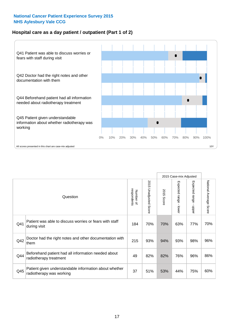#### **Hospital care as a day patient / outpatient (Part 1 of 2)**



|     |                                                                                    |                          |                                 |                      | 2015 Case-mix Adjusted                  |                                         |                        |
|-----|------------------------------------------------------------------------------------|--------------------------|---------------------------------|----------------------|-----------------------------------------|-----------------------------------------|------------------------|
|     | Question                                                                           | respondents<br>Number of | 2015<br><b>Unadjusted Score</b> | 2015<br><b>Score</b> | Expected range<br>$\mathbf{r}$<br>lower | Expected range<br>$\mathbf{I}$<br>nbber | National Average Score |
| Q41 | Patient was able to discuss worries or fears with staff<br>during visit            | 184                      | 70%                             | 70%                  | 63%                                     | 77%                                     | 70%                    |
| Q42 | Doctor had the right notes and other documentation with<br>them                    | 215                      | 93%                             | 94%                  | 93%                                     | 98%                                     | 96%                    |
| Q44 | Beforehand patient had all information needed about<br>radiotherapy treatment      | 49                       | 82%                             | 82%                  | 76%                                     | 96%                                     | 86%                    |
| Q45 | Patient given understandable information about whether<br>radiotherapy was working | 37                       | 51%                             | 53%                  | 44%                                     | 75%                                     | 60%                    |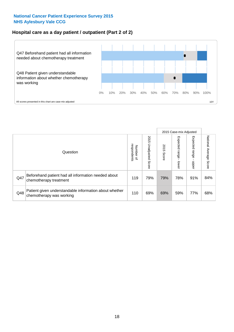#### **Hospital care as a day patient / outpatient (Part 2 of 2)**



|     |                                                                                    |                                       |                             |               | 2015 Case-mix Adjusted       |                         |                           |
|-----|------------------------------------------------------------------------------------|---------------------------------------|-----------------------------|---------------|------------------------------|-------------------------|---------------------------|
|     | Question                                                                           | respondents<br>Number<br>$\mathbf{Q}$ | 2015<br>Unadjusted<br>Score | 2015<br>Score | Expected<br>I range<br>lower | Expected range<br>nbber | National Average<br>Score |
| Q47 | Beforehand patient had all information needed about<br>chemotherapy treatment      | 119                                   | 79%                         | 79%           | 78%                          | 91%                     | 84%                       |
| Q48 | Patient given understandable information about whether<br>chemotherapy was working | 110                                   | 69%                         | 69%           | 59%                          | 77%                     | 68%                       |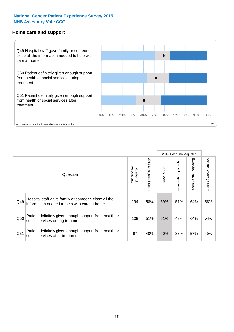#### **Home care and support**



2015 Case-mix Adjusted 2015 Unadjusted Score Expected range - upper National Average Score 2015 Unadjusted Score Expected range - lower National Average Score Expected range - lower Expected range - upper Number of<br>respondents respondents 2015 Score 2015 Score Number of Question Hospital staff gave family or someone close all the  $Q49$  information needed to help with care at home  $Q49$  |  $58\%$  |  $59\%$  |  $51\%$  |  $64\%$  |  $58\%$ Patient definitely given enough support from health or  $\frac{1050}{\text{social services during treatment}}$  109  $\begin{vmatrix} 51\% & 51\% & 43\% \end{vmatrix}$  64% 54% Patient definitely given enough support from health or  $\frac{1}{2}$  and the dominary given enough support nominealities  $\frac{67}{67}$  40% 40% 33% 57% 45%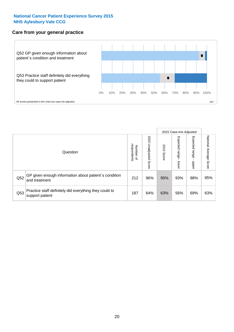#### **Care from your general practice**



|     |                                                                           |                                       |                             |               | 2015 Case-mix Adjusted  |                            |                           |
|-----|---------------------------------------------------------------------------|---------------------------------------|-----------------------------|---------------|-------------------------|----------------------------|---------------------------|
|     | Question                                                                  | respondents<br>Number<br>$\mathbf{Q}$ | 2015<br>Unadjusted<br>Score | 2015<br>Score | Expected range<br>lower | Expected<br>range<br>doper | National Average<br>Score |
| Q52 | GP given enough information about patient's condition<br>and treatment    | 212                                   | 96%                         | 95%           | 93%                     | 98%                        | 95%                       |
| Q53 | Practice staff definitely did everything they could to<br>support patient | 187                                   | 64%                         | 63%           | 56%                     | 69%                        | 63%                       |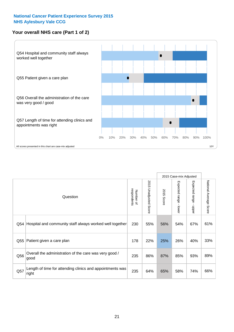#### **Your overall NHS care (Part 1 of 2)**



|     |                                                                    |                          |                          |                      | 2015 Case-mix Adjusted                    |                                           |                        |
|-----|--------------------------------------------------------------------|--------------------------|--------------------------|----------------------|-------------------------------------------|-------------------------------------------|------------------------|
|     | Question                                                           | respondents<br>Number of | 2015<br>Unadjusted Score | 2015<br><b>Score</b> | Expected range<br>$\blacksquare$<br>lower | Expected range<br>$\blacksquare$<br>nbber | National Average Score |
| Q54 | Hospital and community staff always worked well together           | 230                      | 55%                      | 56%                  | 54%                                       | 67%                                       | 61%                    |
| Q55 | Patient given a care plan                                          | 178                      | 22%                      | 25%                  | 26%                                       | 40%                                       | 33%                    |
| Q56 | Overall the administration of the care was very good /<br>good     | 235                      | 86%                      | 87%                  | 85%                                       | 93%                                       | 89%                    |
| Q57 | Length of time for attending clinics and appointments was<br>right | 235                      | 64%                      | 65%                  | 58%                                       | 74%                                       | 66%                    |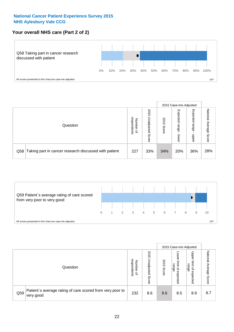#### **Your overall NHS care (Part 2 of 2)**



|     |                                                       |                                   |                             |               | 2015 Case-mix Adjusted     |                            |                        |
|-----|-------------------------------------------------------|-----------------------------------|-----------------------------|---------------|----------------------------|----------------------------|------------------------|
|     | Question                                              | respondents<br>Number<br>$\Omega$ | 2015<br>Unadjusted<br>Score | 2015<br>Score | Expected<br>range<br>lower | Expected<br>range<br>nbber | National Average Score |
| Q58 | Taking part in cancer research discussed with patient | 227                               | 33%                         | 34%           | 20%                        | 36%                        | 28%                    |



|     |                                                                        |                                   |                             |               | 2015 Case-mix Adjusted                                    |                                                       |                              |
|-----|------------------------------------------------------------------------|-----------------------------------|-----------------------------|---------------|-----------------------------------------------------------|-------------------------------------------------------|------------------------------|
|     | Question                                                               | respondents<br>Number<br>$\Omega$ | 2015<br>Inadjusted<br>Score | 2015<br>Score | OWer<br>limit<br>range<br>$\overline{\sigma}$<br>expected | Upper<br>limit<br>range<br>$\overline{a}$<br>expected | National<br>Average<br>Score |
| Q59 | Patient's average rating of care scored from very poor to<br>very good | 232                               | 8.6                         | 8.6           | 8.5                                                       | 8.9                                                   | 8.7                          |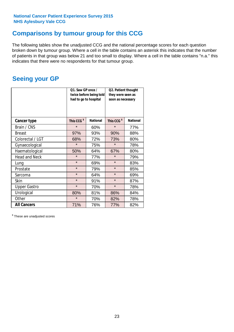### **Comparisons by tumour group for this CCG**

The following tables show the unadjusted CCG and the national percentage scores for each question broken down by tumour group. Where a cell in the table contains an asterisk this indicates that the number of patients in that group was below 21 and too small to display. Where a cell in the table contains "n.a." this indicates that there were no respondents for that tumour group.

### **Seeing your GP**

|                      | Q1. Saw GP once /<br>had to go to hospital | twice before being told | Q2. Patient thought<br>they were seen as<br>soon as necessary |                 |  |
|----------------------|--------------------------------------------|-------------------------|---------------------------------------------------------------|-----------------|--|
| <b>Cancer type</b>   | This CCG <sup>\$</sup>                     | <b>National</b>         | This CCG <sup>\$</sup>                                        | <b>National</b> |  |
| Brain / CNS          | $\star$                                    | 60%                     | $\star$                                                       | 77%             |  |
| <b>Breast</b>        | 97%                                        | 93%                     | 90%                                                           | 88%             |  |
| Colorectal / LGT     | 68%                                        | 72%                     | 73%                                                           | 80%             |  |
| Gynaecological       | $\star$                                    | 75%                     | $\star$                                                       | 78%             |  |
| Haematological       | 50%                                        | 64%                     | 67%                                                           | 80%             |  |
| <b>Head and Neck</b> | $\star$                                    | 77%                     | $\star$                                                       | 79%             |  |
| Lung                 | $\star$                                    | 69%                     | $\star$                                                       | 83%             |  |
| Prostate             | $\star$                                    | 79%                     | $\star$                                                       | 85%             |  |
| Sarcoma              | $\star$                                    | 64%                     | $\star$                                                       | 69%             |  |
| Skin                 | $\star$                                    | 91%                     | $\star$                                                       | 87%             |  |
| <b>Upper Gastro</b>  | $\star$                                    | 70%                     | $\star$                                                       | 78%             |  |
| Urological           | 80%                                        | 81%                     | 86%                                                           | 84%             |  |
| Other                | $\star$                                    | 70%                     | 82%                                                           | 78%             |  |
| <b>All Cancers</b>   | 71%                                        | 76%                     | 77%                                                           | 82%             |  |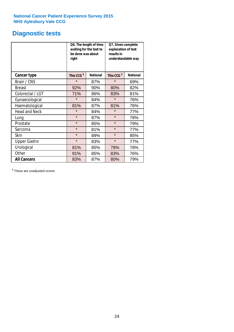## **Diagnostic tests**

|                      | be done was about<br>right | Q6. The length of time<br>waiting for the test to | Q7. Given complete<br>explanation of test<br>results in<br>understandable way |                 |  |
|----------------------|----------------------------|---------------------------------------------------|-------------------------------------------------------------------------------|-----------------|--|
| <b>Cancer type</b>   | This CCG <sup>\$</sup>     | <b>National</b>                                   | This CCG <sup>\$</sup>                                                        | <b>National</b> |  |
| Brain / CNS          | $\star$                    | 87%                                               | $\star$                                                                       | 69%             |  |
| <b>Breast</b>        | 92%                        | 90%                                               | 80%                                                                           | 82%             |  |
| Colorectal / LGT     | 71%                        | 86%                                               | 83%                                                                           | 81%             |  |
| Gynaecological       | $\star$                    | 84%                                               | $\star$                                                                       | 76%             |  |
| Haematological       | 81%                        | 87%                                               | 81%                                                                           | 76%             |  |
| <b>Head and Neck</b> | $\star$                    | 84%                                               | $\star$                                                                       | 77%             |  |
| Lung                 | $\star$                    | 87%                                               | $\star$                                                                       | 78%             |  |
| Prostate             | $\star$                    | 85%                                               | $\star$                                                                       | 79%             |  |
| Sarcoma              | $\star$                    | 81%                                               | $\star$                                                                       | 77%             |  |
| Skin                 | $\star$                    | 89%                                               | $\star$                                                                       | 85%             |  |
| <b>Upper Gastro</b>  | $\star$                    | 83%                                               | $\star$                                                                       | 77%             |  |
| Urological           | 81%                        | 85%                                               | 78%                                                                           | 78%             |  |
| Other                | 91%                        | 85%                                               | 83%                                                                           | 76%             |  |
| <b>All Cancers</b>   | 83%                        | 87%                                               | 80%                                                                           | 79%             |  |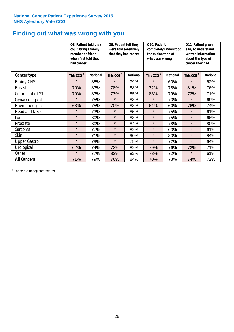### **Finding out what was wrong with you**

|                      | Q8. Patient told they<br>could bring a family<br>member or friend<br>when first told they<br>had cancer |                 | Q9. Patient felt they<br>were told sensitively<br>that they had cancer |                 | Q10. Patient<br>completely understood<br>the explanation of<br>what was wrong |                 | Q11. Patient given<br>easy to understand<br>written information<br>about the type of<br>cancer they had |                 |
|----------------------|---------------------------------------------------------------------------------------------------------|-----------------|------------------------------------------------------------------------|-----------------|-------------------------------------------------------------------------------|-----------------|---------------------------------------------------------------------------------------------------------|-----------------|
| Cancer type          | This CCG <sup>\$</sup>                                                                                  | <b>National</b> | This CCG <sup>\$</sup>                                                 | <b>National</b> | This CCG <sup>\$</sup>                                                        | <b>National</b> | This CCG <sup>\$</sup>                                                                                  | <b>National</b> |
| Brain / CNS          | $\star$                                                                                                 | 85%             | $\star$                                                                | 79%             | $\star$                                                                       | 60%             | $\star$                                                                                                 | 62%             |
| <b>Breast</b>        | 70%                                                                                                     | 83%             | 78%                                                                    | 88%             | 72%                                                                           | 78%             | 81%                                                                                                     | 76%             |
| Colorectal / LGT     | 79%                                                                                                     | 83%             | 77%                                                                    | 85%             | 83%                                                                           | 79%             | 73%                                                                                                     | 71%             |
| Gynaecological       | $\star$                                                                                                 | 75%             | $\star$                                                                | 83%             | $\star$                                                                       | 73%             | $\star$                                                                                                 | 69%             |
| Haematological       | 68%                                                                                                     | 75%             | 70%                                                                    | 83%             | 61%                                                                           | 60%             | 76%                                                                                                     | 74%             |
| <b>Head and Neck</b> | $\star$                                                                                                 | 73%             | $\star$                                                                | 85%             | $\star$                                                                       | 75%             | $\star$                                                                                                 | 61%             |
| Lung                 | $\star$                                                                                                 | 80%             | $\star$                                                                | 83%             | $\star$                                                                       | 75%             | $\star$                                                                                                 | 66%             |
| Prostate             | $\star$                                                                                                 | 80%             | $\star$                                                                | 84%             | $\star$                                                                       | 78%             | $\star$                                                                                                 | 80%             |
| Sarcoma              | $\star$                                                                                                 | 77%             | $\star$                                                                | 82%             | $\star$                                                                       | 63%             | $\star$                                                                                                 | 61%             |
| Skin                 | $\star$                                                                                                 | 71%             | $\star$                                                                | 90%             | $\star$                                                                       | 83%             | $\star$                                                                                                 | 84%             |
| <b>Upper Gastro</b>  | $\star$                                                                                                 | 79%             | $\star$                                                                | 79%             | $\star$                                                                       | 72%             | $\star$                                                                                                 | 64%             |
| Urological           | 62%                                                                                                     | 74%             | 72%                                                                    | 82%             | 79%                                                                           | 76%             | 73%                                                                                                     | 71%             |
| Other                | $\star$                                                                                                 | 77%             | 82%                                                                    | 82%             | 78%                                                                           | 72%             | $\star$                                                                                                 | 61%             |
| <b>All Cancers</b>   | 71%                                                                                                     | 79%             | 76%                                                                    | 84%             | 70%                                                                           | 73%             | 74%                                                                                                     | 72%             |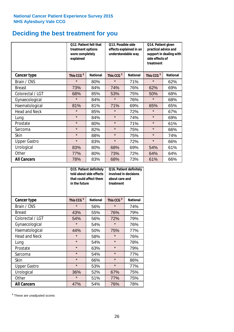### **Deciding the best treatment for you**

|                      | 012. Patient felt that<br>treatment options<br>were completely<br>explained |                 | O13. Possible side<br>understandable way | effects explained in an | Q14. Patient given<br>practical advice and<br>support in dealing with<br>side effects of<br>treatment |                 |  |
|----------------------|-----------------------------------------------------------------------------|-----------------|------------------------------------------|-------------------------|-------------------------------------------------------------------------------------------------------|-----------------|--|
| <b>Cancer type</b>   | This CCG <sup>\$</sup>                                                      | <b>National</b> | This CCG <sup>\$</sup>                   | <b>National</b>         | This CCG <sup>\$</sup>                                                                                | <b>National</b> |  |
| Brain / CNS          | $\star$                                                                     | 80%             | $\star$                                  | 71%                     | $\star$                                                                                               | 62%             |  |
| <b>Breast</b>        | 73%                                                                         | 84%             | 74%                                      | 76%                     | 62%                                                                                                   | 69%             |  |
| Colorectal / LGT     | 68%                                                                         | 85%             | 53%                                      | 75%                     | 50%                                                                                                   | 68%             |  |
| Gynaecological       | $\star$                                                                     | 84%             | $\star$                                  | 76%                     | $\star$                                                                                               | 68%             |  |
| Haematological       | 81%                                                                         | 81%             | 71%                                      | 69%                     | 65%                                                                                                   | 65%             |  |
| <b>Head and Neck</b> | $\star$                                                                     | 85%             | $\star$                                  | 72%                     | $\star$                                                                                               | 67%             |  |
| Lung                 | $\star$                                                                     | 84%             | $\star$                                  | 74%                     | $\star$                                                                                               | 69%             |  |
| Prostate             | $\star$                                                                     | 80%             | $\star$                                  | 71%                     | $\star$                                                                                               | 61%             |  |
| Sarcoma              | $\star$                                                                     | 82%             | $\star$                                  | 75%                     | $\star$                                                                                               | 66%             |  |
| Skin                 | $\star$                                                                     | 88%             | $\star$                                  | 75%                     | $\star$                                                                                               | 74%             |  |
| <b>Upper Gastro</b>  | $\star$                                                                     | 83%             | $\star$                                  | 72%                     | $\star$                                                                                               | 66%             |  |
| Urological           | 83%                                                                         | 80%             | 68%                                      | 69%                     | 54%                                                                                                   | 61%             |  |
| Other                | 77%                                                                         | 80%             | 73%                                      | 72%                     | 64%                                                                                                   | 64%             |  |
| <b>All Cancers</b>   | 78%                                                                         | 83%             | 68%                                      | 73%                     | 61%                                                                                                   | 66%             |  |

|                      | in the future          | Q15. Patient definitely<br>told about side effects<br>that could affect them | involved in decisions<br>about care and<br>treatment | Q16. Patient definitely |  |
|----------------------|------------------------|------------------------------------------------------------------------------|------------------------------------------------------|-------------------------|--|
| <b>Cancer type</b>   | This CCG <sup>\$</sup> | <b>National</b>                                                              | This CCG <sup>\$</sup>                               | <b>National</b>         |  |
| Brain / CNS          | $\star$                | 56%                                                                          | $\star$                                              | 74%                     |  |
| <b>Breast</b>        | 43%                    | 55%                                                                          | 76%                                                  | 79%                     |  |
| Colorectal / LGT     | 54%                    | 56%                                                                          | 72%                                                  | 79%                     |  |
| Gynaecological       | $\star$                | 54%                                                                          | $\star$                                              | 76%                     |  |
| Haematological       | 44%<br>50%             |                                                                              | 75%                                                  | 77%                     |  |
| <b>Head and Neck</b> | $\star$                | 58%                                                                          | $\star$                                              | 76%                     |  |
| Lung                 | $\star$                | 54%                                                                          | $\star$                                              | 78%                     |  |
| Prostate             | $\star$                | 63%                                                                          | $\star$                                              | 79%                     |  |
| Sarcoma              | $\star$                | 54%                                                                          | $\star$                                              | 77%                     |  |
| <b>Skin</b>          | $\star$                | 66%                                                                          | $\star$                                              | 86%                     |  |
| <b>Upper Gastro</b>  | $\star$                | 53%                                                                          | $\star$                                              | 77%                     |  |
| Urological           | 36%                    | 52%                                                                          | 67%                                                  | 75%                     |  |
| Other                | $\star$                | 51%                                                                          | 77%                                                  | 75%                     |  |
| <b>All Cancers</b>   | 47%                    | 54%                                                                          | 76%                                                  | 78%                     |  |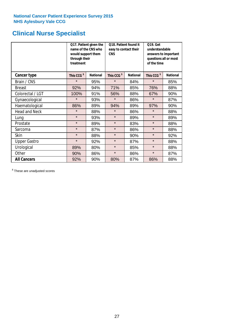### **Clinical Nurse Specialist**

|                      | would support them<br>through their<br>treatment | Q17. Patient given the<br>name of the CNS who | Q18. Patient found it<br>easy to contact their<br><b>CNS</b> |                 | <b>Q19. Get</b><br>understandable<br>answers to important<br>questions all or most<br>of the time |                 |  |
|----------------------|--------------------------------------------------|-----------------------------------------------|--------------------------------------------------------------|-----------------|---------------------------------------------------------------------------------------------------|-----------------|--|
| Cancer type          | This CCG <sup>\$</sup>                           | <b>National</b>                               | This CCG <sup>\$</sup>                                       | <b>National</b> | This CCG <sup>\$</sup>                                                                            | <b>National</b> |  |
| Brain / CNS          | $\star$                                          | 95%                                           | $\star$                                                      | 84%             | $\star$                                                                                           | 85%             |  |
| <b>Breast</b>        | 92%                                              | 94%                                           | 71%                                                          | 85%             | 76%                                                                                               | 88%             |  |
| Colorectal / LGT     | 100%                                             | 91%                                           | 56%                                                          | 88%             | 67%                                                                                               | 90%             |  |
| Gynaecological       | $\star$                                          | 93%                                           | $\star$                                                      | 86%             | $\star$                                                                                           | 87%             |  |
| Haematological       | 86%                                              | 89%                                           | 94%                                                          | 89%             | 97%                                                                                               | 90%             |  |
| <b>Head and Neck</b> | $\star$                                          | 88%                                           | $\star$                                                      | 86%             | $\star$                                                                                           | 88%             |  |
| Lung                 | $\star$                                          | 93%                                           | $\star$                                                      | 89%             | $\star$                                                                                           | 89%             |  |
| Prostate             | $\star$                                          | 89%                                           | $\star$                                                      | 83%             | $\star$                                                                                           | 88%             |  |
| Sarcoma              | $\star$                                          | 87%                                           | $\star$                                                      | 86%             | $\star$                                                                                           | 88%             |  |
| Skin                 | $\star$                                          | 88%                                           | $\star$                                                      | 90%             | $\star$                                                                                           | 92%             |  |
| <b>Upper Gastro</b>  | $\star$                                          | 92%                                           | $\star$                                                      | 87%             | $\star$                                                                                           | 88%             |  |
| Urological           | 89%                                              | 80%                                           | $\star$                                                      | 85%             | $\star$                                                                                           | 88%             |  |
| Other                | 90%                                              | 86%                                           | $\star$                                                      | 86%             | $\star$                                                                                           | 87%             |  |
| <b>All Cancers</b>   | 92%                                              | 90%                                           | 80%                                                          | 87%             | 86%                                                                                               | 88%             |  |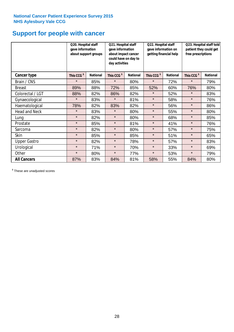### **Support for people with cancer**

|                      | Q20. Hospital staff<br>gave information | about support groups | Q21. Hospital staff<br>gave information<br>about impact cancer<br>could have on day to<br>day activities |                 | Q22. Hospital staff<br>gave information on<br>getting financial help |                 | Q23. Hospital staff told<br>patient they could get<br>free prescriptions |                 |
|----------------------|-----------------------------------------|----------------------|----------------------------------------------------------------------------------------------------------|-----------------|----------------------------------------------------------------------|-----------------|--------------------------------------------------------------------------|-----------------|
| Cancer type          | This CCG <sup>\$</sup>                  | <b>National</b>      | This CCG <sup>\$</sup>                                                                                   | <b>National</b> | This CCG <sup>\$</sup>                                               | <b>National</b> | This CCG <sup>\$</sup>                                                   | <b>National</b> |
| Brain / CNS          | $\star$                                 | 85%                  | $\star$                                                                                                  | 80%             | $\star$                                                              | 72%             | $\star$                                                                  | 79%             |
| <b>Breast</b>        | 89%                                     | 88%                  | 72%                                                                                                      | 85%             | 52%                                                                  | 60%             | 76%                                                                      | 80%             |
| Colorectal / LGT     | 88%                                     | 82%                  | 86%                                                                                                      | 82%             | $\star$                                                              | 52%             | $\star$                                                                  | 83%             |
| Gynaecological       | $\star$                                 | 83%                  | $\star$                                                                                                  | 81%             | $\star$                                                              | 58%             | $\star$                                                                  | 76%             |
| Haematological       | 78%                                     | 82%                  | 83%                                                                                                      | 82%             | $\star$                                                              | 56%             | $\star$                                                                  | 86%             |
| <b>Head and Neck</b> | $\star$                                 | 83%                  | $\star$                                                                                                  | 80%             | $\star$                                                              | 55%             | $\star$                                                                  | 80%             |
| Lung                 | $\star$                                 | 82%                  | $\star$                                                                                                  | 80%             | $\star$                                                              | 68%             | $\star$                                                                  | 85%             |
| Prostate             | $\star$                                 | 85%                  | $\star$                                                                                                  | 81%             | $\star$                                                              | 41%             | $\star$                                                                  | 76%             |
| Sarcoma              | $\star$                                 | 82%                  | $\star$                                                                                                  | 80%             | $\star$                                                              | 57%             | $\star$                                                                  | 75%             |
| Skin                 | $\star$                                 | 85%                  | $\star$                                                                                                  | 85%             | $\star$                                                              | 51%             | $\star$                                                                  | 65%             |
| <b>Upper Gastro</b>  | $\star$                                 | 82%                  | $\star$                                                                                                  | 78%             | $\star$                                                              | 57%             | $\star$                                                                  | 83%             |
| Urological           | $\star$                                 | 71%                  | $\star$                                                                                                  | 70%             | $\star$                                                              | 33%             | $\star$                                                                  | 69%             |
| Other                | $\star$                                 | 80%                  | $\star$                                                                                                  | 77%             | $\star$                                                              | 53%             | $\star$                                                                  | 79%             |
| <b>All Cancers</b>   | 87%                                     | 83%                  | 84%                                                                                                      | 81%             | 58%                                                                  | 55%             | 84%                                                                      | 80%             |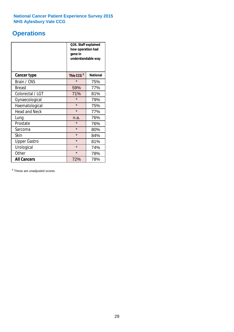### **Operations**

|                      | Q26. Staff explained<br>how operation had<br>gone in<br>understandable way |                 |  |  |
|----------------------|----------------------------------------------------------------------------|-----------------|--|--|
| <b>Cancer type</b>   | This CCG <sup>\$</sup>                                                     | <b>National</b> |  |  |
| Brain / CNS          | $\star$                                                                    | 75%             |  |  |
| <b>Breast</b>        | 59%                                                                        | 77%             |  |  |
| Colorectal / LGT     | 71%                                                                        | 81%             |  |  |
| Gynaecological       | $\star$                                                                    | 79%             |  |  |
| Haematological       | $\star$                                                                    | 75%             |  |  |
| <b>Head and Neck</b> | $\star$                                                                    | 77%             |  |  |
| Lung                 | n.a.                                                                       | 76%             |  |  |
| Prostate             | $\star$                                                                    | 76%             |  |  |
| Sarcoma              | $\star$                                                                    | 80%             |  |  |
| Skin                 | $\star$                                                                    | 84%             |  |  |
| <b>Upper Gastro</b>  | $\star$                                                                    | 81%             |  |  |
| Urological           | $\star$                                                                    | 74%             |  |  |
| Other                | $\star$<br>78%                                                             |                 |  |  |
| <b>All Cancers</b>   | 72%                                                                        | 78%             |  |  |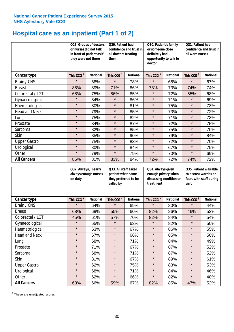### **Hospital care as an inpatient (Part 1 of 2)**

|                      | Q28. Groups of doctors<br>or nurses did not talk<br>in front of patient as if<br>they were not there |                 | Q29. Patient had<br>confidence and trust in<br>all doctors treating<br>them |                 | Q30. Patient's family<br>or someone close<br>definitely had<br>opportunity to talk to<br>doctor |                 | Q31. Patient had<br>confidence and trust in  <br>all ward nurses |                 |
|----------------------|------------------------------------------------------------------------------------------------------|-----------------|-----------------------------------------------------------------------------|-----------------|-------------------------------------------------------------------------------------------------|-----------------|------------------------------------------------------------------|-----------------|
| Cancer type          | This CCG <sup>\$</sup>                                                                               | <b>National</b> | This CCG <sup>\$</sup>                                                      | <b>National</b> | This CCG <sup>\$</sup>                                                                          | <b>National</b> | This CCG <sup>\$</sup>                                           | <b>National</b> |
| Brain / CNS          | $\star$                                                                                              | 68%             | $\star$                                                                     | 78%             | $\star$                                                                                         | 65%             | $\star$                                                          | 67%             |
| <b>Breast</b>        | 88%                                                                                                  | 89%             | 71%                                                                         | 86%             | 73%                                                                                             | 73%             | 74%                                                              | 74%             |
| Colorectal / LGT     | 68%                                                                                                  | 75%             | 86%                                                                         | 85%             | $\star$                                                                                         | 72%             | 55%                                                              | 68%             |
| Gynaecological       | $\star$                                                                                              | 84%             | $\star$                                                                     | 86%             | $\star$                                                                                         | 71%             | $\star$                                                          | 69%             |
| Haematological       | $\star$                                                                                              | 80%             | $\star$                                                                     | 81%             | $\star$                                                                                         | 75%             | $\star$                                                          | 73%             |
| <b>Head and Neck</b> | $\star$                                                                                              | 79%             | $\star$                                                                     | 85%             | $\star$                                                                                         | 73%             | $\star$                                                          | 72%             |
| Lung                 | $\star$                                                                                              | 75%             | $\star$                                                                     | 82%             | $\star$                                                                                         | 71%             | $\star$                                                          | 73%             |
| Prostate             | $\star$                                                                                              | 84%             | $\star$                                                                     | 87%             | $\star$                                                                                         | 72%             | $\star$                                                          | 75%             |
| Sarcoma              | $\star$                                                                                              | 82%             | $\star$                                                                     | 85%             | $\star$                                                                                         | 75%             | $\star$                                                          | 70%             |
| Skin                 | $\star$                                                                                              | 85%             | $\star$                                                                     | 90%             | $\star$                                                                                         | 79%             | $\star$                                                          | 84%             |
| <b>Upper Gastro</b>  | $\star$                                                                                              | 75%             | $\star$                                                                     | 83%             | $\star$                                                                                         | 72%             | $\star$                                                          | 70%             |
| Urological           | $\star$                                                                                              | 80%             | $\star$                                                                     | 84%             | $\star$                                                                                         | 67%             | $\star$                                                          | 75%             |
| Other                | $\star$                                                                                              | 79%             | $\star$                                                                     | 79%             | $\star$                                                                                         | 70%             | $\star$                                                          | 69%             |
| <b>All Cancers</b>   | 85%                                                                                                  | 81%             | 83%                                                                         | 84%             | 72%                                                                                             | 72%             | 74%                                                              | 72%             |

|                      | Q32. Always / nearly<br>always enough nurses<br>on duty |                 | Q33. All staff asked<br>patient what name<br>they preferred to be<br>called by |                 | Q34. Always given<br>enough privacy when<br>discussing condition or<br>treatment |                 | Q35. Patient was able<br>to discuss worries or<br>fears with staff during<br>visit |                 |
|----------------------|---------------------------------------------------------|-----------------|--------------------------------------------------------------------------------|-----------------|----------------------------------------------------------------------------------|-----------------|------------------------------------------------------------------------------------|-----------------|
| Cancer type          | This CCG <sup>\$</sup>                                  | <b>National</b> | This CCG <sup>\$</sup>                                                         | <b>National</b> | This CCG <sup>\$</sup>                                                           | <b>National</b> | This CCG <sup>\$</sup>                                                             | <b>National</b> |
| Brain / CNS          | $\star$                                                 | 64%             | $\star$                                                                        | 69%             | $\star$                                                                          | 80%             | $\star$                                                                            | 44%             |
| <b>Breast</b>        | 68%                                                     | 69%             | 55%                                                                            | 60%             | 82%                                                                              | 86%             | 46%                                                                                | 53%             |
| Colorectal / LGT     | 45%                                                     | 61%             | 57%                                                                            | 70%             | 82%                                                                              | 84%             | $\star$                                                                            | 54%             |
| Gynaecological       | $\star$                                                 | 65%             | $\star$                                                                        | 63%             | $\star$                                                                          | 82%             | $\star$                                                                            | 50%             |
| Haematological       | $\star$                                                 | 63%             | $\star$                                                                        | 67%             | $\star$                                                                          | 86%             | $\star$                                                                            | 55%             |
| <b>Head and Neck</b> | $\star$                                                 | 67%             | $\star$                                                                        | 66%             | $\star$                                                                          | 85%             | $\star$                                                                            | 50%             |
| Lung                 | $\star$                                                 | 68%             | $\star$                                                                        | 71%             | $\star$                                                                          | 84%             | $\star$                                                                            | 49%             |
| Prostate             | $\star$                                                 | 71%             | $\star$                                                                        | 67%             | $\star$                                                                          | 87%             | $\star$                                                                            | 52%             |
| Sarcoma              | $\star$                                                 | 68%             | $\star$                                                                        | 71%             | $\star$                                                                          | 87%             | $\star$                                                                            | 52%             |
| Skin                 | $\star$                                                 | 81%             | $\star$                                                                        | 67%             | $\star$                                                                          | 89%             | $\star$                                                                            | 61%             |
| <b>Upper Gastro</b>  | $\star$                                                 | 62%             | $\star$                                                                        | 75%             | $\star$                                                                          | 83%             | $\star$                                                                            | 53%             |
| Urological           | $\star$                                                 | 68%             | $\star$                                                                        | 71%             | $\star$                                                                          | 84%             | $\star$                                                                            | 46%             |
| Other                | $\star$                                                 | 62%             | $\star$                                                                        | 66%             | $\star$                                                                          | 82%             | $\star$                                                                            | 48%             |
| <b>All Cancers</b>   | 63%                                                     | 66%             | 59%                                                                            | 67%             | 82%                                                                              | 85%             | 47%                                                                                | 52%             |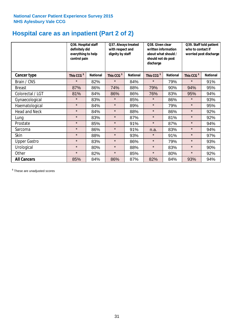### **Hospital care as an inpatient (Part 2 of 2)**

|                      | Q36. Hospital staff<br>definitely did<br>everything to help<br>control pain |                 | Q37. Always treated<br>with respect and<br>dignity by staff |                 | written information<br>about what should /<br>should not do post<br>discharge |                 | Q38. Given clear<br>Q39. Staff told patient<br>who to contact if<br>worried post discharge |                 |  |
|----------------------|-----------------------------------------------------------------------------|-----------------|-------------------------------------------------------------|-----------------|-------------------------------------------------------------------------------|-----------------|--------------------------------------------------------------------------------------------|-----------------|--|
| Cancer type          | This CCG <sup>\$</sup>                                                      | <b>National</b> | This CCG <sup>\$</sup>                                      | <b>National</b> | This CCG <sup>\$</sup>                                                        | <b>National</b> | This CCG <sup>\$</sup>                                                                     | <b>National</b> |  |
| Brain / CNS          | $\star$                                                                     | 82%             | $\star$                                                     | 84%             | $\star$                                                                       | 79%             | $\star$                                                                                    | 91%             |  |
| <b>Breast</b>        | 87%                                                                         | 86%             | 74%                                                         | 88%             | 79%                                                                           | 90%             | 94%                                                                                        | 95%             |  |
| Colorectal / LGT     | 81%                                                                         | 84%             | 86%                                                         | 86%             | 76%                                                                           | 83%             | 95%                                                                                        | 94%             |  |
| Gynaecological       | $\star$                                                                     | 83%             | $\star$                                                     | 85%             | $\star$                                                                       | 86%             | $\star$                                                                                    | 93%             |  |
| Haematological       | $\star$                                                                     | 84%             | $\star$                                                     | 89%             | $\star$                                                                       | 79%             | $\star$                                                                                    | 95%             |  |
| <b>Head and Neck</b> | $\star$                                                                     | 84%             | $\star$                                                     | 88%             | $\star$                                                                       | 86%             | $\star$                                                                                    | 92%             |  |
| Lung                 | $\star$                                                                     | 83%             | $\star$                                                     | 87%             | $\star$                                                                       | 81%             | $\star$                                                                                    | 92%             |  |
| Prostate             | $\star$                                                                     | 85%             | $\star$                                                     | 91%             | $\star$                                                                       | 87%             | $\star$                                                                                    | 94%             |  |
| Sarcoma              | $\star$                                                                     | 86%             | $\star$                                                     | 91%             | n.a.                                                                          | 83%             | $\star$                                                                                    | 94%             |  |
| Skin                 | $\star$                                                                     | 88%             | $\star$                                                     | 93%             | $\star$                                                                       | 91%             | $\star$                                                                                    | 97%             |  |
| <b>Upper Gastro</b>  | $\star$                                                                     | 83%             | $\star$                                                     | 86%             | $\star$                                                                       | 79%             | $\star$                                                                                    | 93%             |  |
| Urological           | $\star$                                                                     | 80%             | $\star$                                                     | 88%             | $\star$                                                                       | 83%             | $\star$                                                                                    | 90%             |  |
| Other                | $\star$                                                                     | 82%             | $\star$                                                     | 85%             | $\star$                                                                       | 80%             | $\star$                                                                                    | 92%             |  |
| <b>All Cancers</b>   | 85%                                                                         | 84%             | 86%                                                         | 87%             | 82%                                                                           | 84%             | 93%                                                                                        | 94%             |  |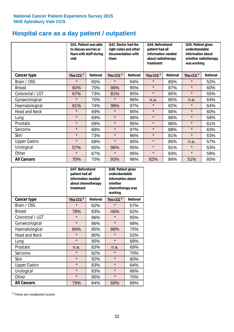## **Hospital care as a day patient / outpatient**

|                      | visit                  | Q41. Patient was able<br>Q42. Doctor had the<br>to discuss worries or<br>fears with staff during<br>documentation with<br>them |                        | Q44. Beforehand<br>right notes and other<br>patient had all<br>treatment |                        | information needed<br>about radiotherapy<br>was working |                        | Q45. Patient given<br>understandable<br>information about<br>whether radiotherapy |  |
|----------------------|------------------------|--------------------------------------------------------------------------------------------------------------------------------|------------------------|--------------------------------------------------------------------------|------------------------|---------------------------------------------------------|------------------------|-----------------------------------------------------------------------------------|--|
| <b>Cancer type</b>   | This CCG <sup>\$</sup> | <b>National</b>                                                                                                                | This CCG <sup>\$</sup> | <b>National</b>                                                          | This CCG <sup>\$</sup> | <b>National</b>                                         | This CCG <sup>\$</sup> | <b>National</b>                                                                   |  |
| Brain / CNS          | $\star$                | 65%                                                                                                                            | $\star$                | 94%                                                                      | $\star$                | 85%                                                     | $\star$                | 52%                                                                               |  |
| <b>Breast</b>        | 60%                    | 70%                                                                                                                            | 96%                    | 95%                                                                      | $\star$                | 87%                                                     | $\star$                | 60%                                                                               |  |
| Colorectal / LGT     | 67%                    | 73%                                                                                                                            | 81%                    | 95%                                                                      | $\star$                | 85%                                                     | $\star$                | 55%                                                                               |  |
| Gynaecological       | $\star$                | 70%                                                                                                                            | $\star$                | 96%                                                                      | n.a.                   | 85%                                                     | n.a.                   | 64%                                                                               |  |
| Haematological       | 81%                    | 74%                                                                                                                            | 98%                    | 97%                                                                      | $\star$                | 82%                                                     | $\star$                | 64%                                                                               |  |
| <b>Head and Neck</b> | $\star$                | 69%                                                                                                                            | $\star$                | 95%                                                                      | $\star$                | 86%                                                     | $\star$                | 60%                                                                               |  |
| Lung                 | $\star$                | 69%                                                                                                                            | $\star$                | 96%                                                                      | $\star$                | 86%                                                     | $\star$                | 59%                                                                               |  |
| Prostate             | $\star$                | 69%                                                                                                                            | $\star$                | 95%                                                                      | $\star$                | 88%                                                     | $\star$                | 61%                                                                               |  |
| Sarcoma              | $\star$                | 68%                                                                                                                            | $\star$                | 97%                                                                      | $\star$                | 88%                                                     | $\star$                | 63%                                                                               |  |
| Skin                 | $\star$                | 73%                                                                                                                            | $\star$                | 96%                                                                      | $\star$                | 81%                                                     | $\star$                | 63%                                                                               |  |
| <b>Upper Gastro</b>  | $\star$                | 68%                                                                                                                            | $\star$                | 95%                                                                      | $\star$                | 85%                                                     | n.a.                   | 57%                                                                               |  |
| Urological           | 57%                    | 65%                                                                                                                            | 96%                    | 95%                                                                      | $\star$                | 81%                                                     | $\star$                | 53%                                                                               |  |
| Other                | $\star$                | 67%                                                                                                                            | $\star$                | 95%                                                                      | $\star$                | 83%                                                     | $\star$                | 59%                                                                               |  |
| <b>All Cancers</b>   | 70%                    | 70%                                                                                                                            | 93%                    | 96%                                                                      | 82%                    | 86%                                                     | 51%                    | 60%                                                                               |  |

|                      | Q47. Beforehand<br>patient had all<br>information needed<br>about chemotherapy<br>treatment |                 | Q48. Patient given<br>understandable<br>information about<br>whether<br>chemotherapy was<br>working |                 |
|----------------------|---------------------------------------------------------------------------------------------|-----------------|-----------------------------------------------------------------------------------------------------|-----------------|
| <b>Cancer type</b>   | This CCG <sup>\$</sup>                                                                      | <b>National</b> | This CCG <sup>\$</sup>                                                                              | <b>National</b> |
| Brain / CNS          | $\star$                                                                                     | 82%             | $\star$                                                                                             | 57%             |
| <b>Breast</b>        | 78%                                                                                         | 83%             | 46%                                                                                                 | 62%             |
| Colorectal / LGT     | $\star$                                                                                     | 86%             | $\star$                                                                                             | 65%             |
| Gynaecological       | $\star$                                                                                     | 86%             | $\star$                                                                                             | 68%             |
| Haematological       | 84%                                                                                         | 85%             | 88%                                                                                                 | 75%             |
| <b>Head and Neck</b> | $\star$                                                                                     | 80%             | $\star$                                                                                             | 52%             |
| Lung                 | $\star$                                                                                     | 85%             | $\star$                                                                                             | 68%             |
| Prostate             | n.a.                                                                                        | 83%             | n.a.                                                                                                | 69%             |
| Sarcoma              | $\star$                                                                                     | 82%             | $\star$                                                                                             | 70%             |
| <b>Skin</b>          | $\star$                                                                                     | 92%             | $\star$                                                                                             | 80%             |
| <b>Upper Gastro</b>  | $\star$                                                                                     | 83%             | $\star$                                                                                             | 64%             |
| Urological           | $\star$                                                                                     | 83%             | $\star$                                                                                             | 66%             |
| Other                | $\star$                                                                                     | 85%             | $\star$                                                                                             | 70%             |
| <b>All Cancers</b>   | 79%                                                                                         | 84%             | 69%                                                                                                 | 68%             |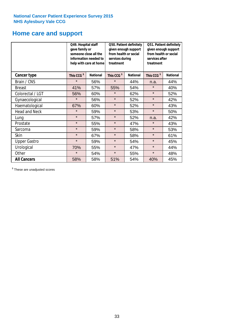### **Home care and support**

|                      | Q49. Hospital staff<br>gave family or<br>someone close all the<br>information needed to<br>help with care at home |                 | from health or social<br>services during<br>treatment | Q50. Patient definitely<br>given enough support | Q51. Patient definitely<br>given enough support<br>from health or social<br>services after<br>treatment |                 |  |
|----------------------|-------------------------------------------------------------------------------------------------------------------|-----------------|-------------------------------------------------------|-------------------------------------------------|---------------------------------------------------------------------------------------------------------|-----------------|--|
| <b>Cancer type</b>   | This CCG <sup>\$</sup>                                                                                            | <b>National</b> | This CCG <sup>\$</sup>                                | <b>National</b>                                 | This CCG <sup>\$</sup>                                                                                  | <b>National</b> |  |
| Brain / CNS          | $\star$                                                                                                           | 56%             | $\star$                                               | 44%                                             | n.a.                                                                                                    | 44%             |  |
| <b>Breast</b>        | 41%                                                                                                               | 57%             | 55%                                                   | 54%                                             | $\star$                                                                                                 | 40%             |  |
| Colorectal / LGT     | 56%                                                                                                               | 60%             | $\star$                                               | 62%                                             | $\star$                                                                                                 | 52%             |  |
| Gynaecological       | $\star$                                                                                                           | 56%             | $\star$                                               | 52%                                             | $\star$                                                                                                 | 42%             |  |
| Haematological       | 67%                                                                                                               | 60%             | $\star$                                               | 52%                                             | $\star$                                                                                                 | 43%             |  |
| <b>Head and Neck</b> | $\star$                                                                                                           | 59%             | $\star$                                               | 53%                                             | $\star$                                                                                                 | 50%             |  |
| Lung                 | $\star$                                                                                                           | 57%             | $\star$                                               | 52%                                             | n.a.                                                                                                    | 42%             |  |
| Prostate             | $\star$                                                                                                           | 55%             | $\star$                                               | 47%                                             | $\star$                                                                                                 | 43%             |  |
| Sarcoma              | $\star$                                                                                                           | 59%             | $\star$                                               | 58%                                             | $\star$                                                                                                 | 53%             |  |
| Skin                 | $\star$                                                                                                           | 67%             | $\star$                                               | 58%                                             | $\star$                                                                                                 | 61%             |  |
| <b>Upper Gastro</b>  | $\star$                                                                                                           | 59%             | $\star$                                               | 54%                                             | $\star$                                                                                                 | 45%             |  |
| Urological           | 70%                                                                                                               | 55%             | $\star$                                               | 47%                                             | $\star$                                                                                                 | 44%             |  |
| Other                | $\star$                                                                                                           | 54%             | $\star$                                               | 55%                                             | $\star$                                                                                                 | 48%             |  |
| <b>All Cancers</b>   | 58%                                                                                                               | 58%             | 51%                                                   | 54%                                             | 40%                                                                                                     | 45%             |  |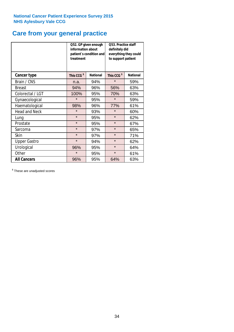## **Care from your general practice**

|                      | information about<br>treatment | Q52. GP given enough<br>patient's condition and | Q53. Practice staff<br>definitely did<br>everything they could<br>to support patient |                 |  |
|----------------------|--------------------------------|-------------------------------------------------|--------------------------------------------------------------------------------------|-----------------|--|
| <b>Cancer type</b>   | This CCG <sup>\$</sup>         | <b>National</b>                                 | This CCG <sup>\$</sup>                                                               | <b>National</b> |  |
| Brain / CNS          | n.a.                           | 94%                                             | $\star$                                                                              | 59%             |  |
| <b>Breast</b>        | 94%                            | 96%                                             | 56%                                                                                  | 63%             |  |
| Colorectal / LGT     | 100%                           | 95%                                             | 70%                                                                                  | 63%             |  |
| Gynaecological       | $\star$                        | 95%                                             | $\star$                                                                              | 59%             |  |
| Haematological       | 98%                            | 96%                                             | 77%                                                                                  | 61%             |  |
| <b>Head and Neck</b> | $\star$                        | 93%                                             | $\star$                                                                              | 60%             |  |
| Lung                 | $\star$                        | 95%                                             | $\star$                                                                              | 62%             |  |
| Prostate             | $\star$                        | 95%                                             | $\star$                                                                              | 67%             |  |
| Sarcoma              | $\star$                        | 97%                                             | $\star$                                                                              | 65%             |  |
| <b>Skin</b>          | $\star$                        | 97%                                             | $\star$                                                                              | 71%             |  |
| <b>Upper Gastro</b>  | $\star$                        | 94%                                             | $\star$                                                                              | 62%             |  |
| Urological           | 96%                            | 95%                                             | $\star$                                                                              | 64%             |  |
| Other                | $\star$                        | 95%                                             | $\star$                                                                              | 61%             |  |
| <b>All Cancers</b>   | 96%                            | 95%                                             | 64%                                                                                  | 63%             |  |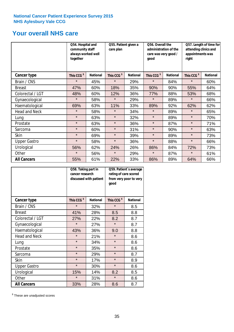### **Your overall NHS care**

|                      | Q54. Hospital and<br>community staff<br>always worked well<br>together |                 | Q55. Patient given a<br>care plan |                 | Q56. Overall the<br>administration of the<br>care was very good /<br>qood |                 | Q57. Length of time for<br>attending clinics and<br>appointments was<br>right |                 |
|----------------------|------------------------------------------------------------------------|-----------------|-----------------------------------|-----------------|---------------------------------------------------------------------------|-----------------|-------------------------------------------------------------------------------|-----------------|
| Cancer type          | This CCG <sup>\$</sup>                                                 | <b>National</b> | This CCG <sup>\$</sup>            | <b>National</b> | This CCG <sup>\$</sup>                                                    | <b>National</b> | This CCG <sup>\$</sup>                                                        | <b>National</b> |
| Brain / CNS          | $\star$                                                                | 45%             | $\star$                           | 29%             | $\star$                                                                   | 84%             | $\star$                                                                       | 60%             |
| <b>Breast</b>        | 47%                                                                    | 60%             | 18%                               | 35%             | 90%                                                                       | 90%             | 55%                                                                           | 64%             |
| Colorectal / LGT     | 48%                                                                    | 60%             | 12%                               | 36%             | 77%                                                                       | 88%             | 53%                                                                           | 68%             |
| Gynaecological       | $\star$                                                                | 58%             | $\star$                           | 29%             | $\star$                                                                   | 89%             | $\star$                                                                       | 66%             |
| Haematological       | 69%                                                                    | 63%             | 11%                               | 33%             | 89%                                                                       | 92%             | 62%                                                                           | 62%             |
| <b>Head and Neck</b> | $\star$                                                                | 58%             | $\star$                           | 34%             | $\star$                                                                   | 89%             | $\star$                                                                       | 65%             |
| Lung                 | $\star$                                                                | 63%             | $\star$                           | 32%             | $\star$                                                                   | 89%             | $\star$                                                                       | 70%             |
| Prostate             | $\star$                                                                | 63%             | $\star$                           | 36%             | $\star$                                                                   | 87%             | $\star$                                                                       | 71%             |
| Sarcoma              | $\star$                                                                | 60%             | $\star$                           | 31%             | $\star$                                                                   | 90%             | $\star$                                                                       | 63%             |
| Skin                 | $\star$                                                                | 69%             | $\star$                           | 39%             | $\star$                                                                   | 89%             | $\star$                                                                       | 73%             |
| <b>Upper Gastro</b>  | $\star$                                                                | 58%             | $\star$                           | 36%             | $\star$                                                                   | 88%             | $\star$                                                                       | 66%             |
| Urological           | 56%                                                                    | 62%             | 24%                               | 26%             | 86%                                                                       | 84%             | 72%                                                                           | 73%             |
| Other                | $\star$                                                                | 56%             | $\star$                           | 29%             | $\star$                                                                   | 87%             | $\star$                                                                       | 61%             |
| <b>All Cancers</b>   | 55%                                                                    | 61%             | 22%                               | 33%             | 86%                                                                       | 89%             | 64%                                                                           | 66%             |

|                      | Q58. Taking part in<br>cancer research | discussed with patient | Q59. Patient's average<br>rating of care scored<br>from very poor to very<br>good |                 |  |
|----------------------|----------------------------------------|------------------------|-----------------------------------------------------------------------------------|-----------------|--|
| <b>Cancer type</b>   | This CCG <sup>\$</sup>                 | <b>National</b>        | This CCG <sup>\$</sup>                                                            | <b>National</b> |  |
| Brain / CNS          | $\star$                                | 32%                    | $\star$                                                                           | 8.5             |  |
| <b>Breast</b>        | 41%                                    | 28%                    | 8.5                                                                               | 8.8             |  |
| Colorectal / LGT     | 27%                                    | 22%                    | 8.2                                                                               | 8.7             |  |
| Gynaecological       | $\star$                                | 27%                    | $\star$                                                                           | 8.7             |  |
| Haematological       | 43%                                    | 36%                    | 9.0                                                                               | 8.8             |  |
| <b>Head and Neck</b> | $\star$                                | 21%                    | $\star$                                                                           | 8.6             |  |
| Lung                 | $\star$                                | 34%                    | $\star$                                                                           | 8.6             |  |
| Prostate             | $\star$                                | 35%                    | $\star$                                                                           | 8.6             |  |
| Sarcoma              | $\star$                                | 29%                    | $\star$                                                                           | 8.7             |  |
| Skin                 | $\star$                                | 17%                    | $\star$                                                                           | 8.9             |  |
| <b>Upper Gastro</b>  | $\star$                                | 30%                    | $\star$                                                                           | 8.6             |  |
| Urological           | 15%                                    | 14%                    | 8.2                                                                               | 8.5             |  |
| Other                | $\star$                                | 31%                    | $\star$                                                                           | 8.6             |  |
| <b>All Cancers</b>   | 33%                                    | 28%                    | 8.6                                                                               | 8.7             |  |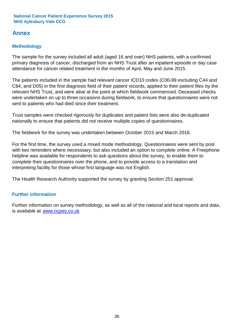### **Annex**

### **Methodology**

The sample for the survey included all adult (aged 16 and over) NHS patients, with a confirmed primary diagnosis of cancer, discharged from an NHS Trust after an inpatient episode or day case attendance for cancer related treatment in the months of April, May and June 2015.

The patients included in the sample had relevant cancer ICD10 codes (C00-99 excluding C44 and C84, and D05) in the first diagnosis field of their patient records, applied to their patient files by the relevant NHS Trust, and were alive at the point at which fieldwork commenced. Deceased checks were undertaken on up to three occasions during fieldwork, to ensure that questionnaires were not sent to patients who had died since their treatment.

Trust samples were checked rigorously for duplicates and patient lists were also de-duplicated nationally to ensure that patients did not receive multiple copies of questionnaires.

The fieldwork for the survey was undertaken between October 2015 and March 2016.

For the first time, the survey used a mixed mode methodology. Questionnaires were sent by post with two reminders where necesssary, but also included an option to complete online. A Freephone helpline was available for respondents to ask questions about the survey, to enable them to complete their questionnaires over the phone, and to provide access to a translation and interpreting facility for those whose first language was not English.

The Health Research Authority supported the survey by granting Section 251 approval.

#### **Further information**

Further information on survey methodology, as well as all of the national and local reports and data, is available at www.ncpes.co.uk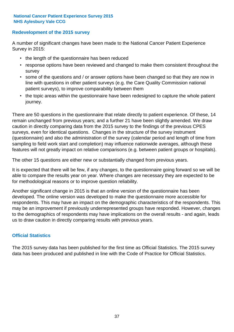#### **Redevelopment of the 2015 survey**

A number of significant changes have been made to the National Cancer Patient Experience Survey in 2015:

- the length of the questionnaire has been reduced
- response options have been reviewed and changed to make them consistent throughout the survey
- some of the questions and / or answer options have been changed so that they are now in line with questions in other patient surveys (e.g. the Care Quality Commission national patient surveys), to improve comparability between them
- the topic areas within the questionnaire have been redesigned to capture the whole patient journey.

There are 50 questions in the questionnaire that relate directly to patient experience. Of these, 14 remain unchanged from previous years; and a further 21 have been slightly amended. We draw caution in directly comparing data from the 2015 survey to the findings of the previous CPES surveys, even for identical questions. Changes in the structure of the survey instrument (questionnaire) and also the administration of the survey (calendar period and length of time from sampling to field work start and completion) may influence nationwide averages, although these features will not greatly impact on relative comparisons (e.g. between patient groups or hospitals).

The other 15 questions are either new or substantially changed from previous years.

It is expected that there will be few, if any changes, to the questionnaire going forward so we will be able to compare the results year on year. Where changes are necessary they are expected to be for methodological reasons or to improve question reliability.

Another significant change in 2015 is that an online version of the questionnaire has been developed. The online version was developed to make the questionnaire more accessible for respondents. This may have an impact on the demographic characteristics of the respondents. This may be an improvement if previously underrepresented groups have responded. However, changes to the demographics of respondents may have implications on the overall results - and again, leads us to draw caution in directly comparing results with previous years.

#### **Official Statistics**

The 2015 survey data has been published for the first time as Official Statistics. The 2015 survey data has been produced and published in line with the Code of Practice for Official Statistics.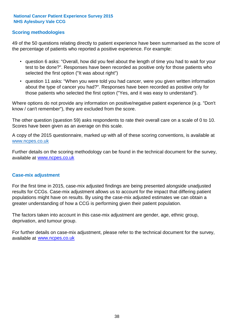#### **Scoring methodologies**

49 of the 50 questions relating directly to patient experience have been summarised as the score of the percentage of patients who reported a positive experience. For example:

- question 6 asks: "Overall, how did you feel about the length of time you had to wait for your test to be done?". Responses have been recorded as positive only for those patients who selected the first option ("It was about right")
- question 11 asks: "When you were told you had cancer, were you given written information about the type of cancer you had?". Responses have been recorded as positive only for those patients who selected the first option ("Yes, and it was easy to understand").

Where options do not provide any information on positive/negative patient experience (e.g. "Don't know / can't remember"), they are excluded from the score.

The other question (question 59) asks respondents to rate their overall care on a scale of 0 to 10. Scores have been given as an average on this scale.

A copy of the 2015 questionnaire, marked up with all of these scoring conventions, is available at www.ncpes.co.uk

Further details on the scoring methodology can be found in the technical document for the survey, available at <u>www.ncpes.co.uk</u>

#### **Case-mix adjustment**

For the first time in 2015, case-mix adjusted findings are being presented alongside unadjusted results for CCGs. Case-mix adjustment allows us to account for the impact that differing patient populations might have on results. By using the case-mix adjusted estimates we can obtain a greater understanding of how a CCG is performing given their patient population.

The factors taken into account in this case-mix adjustment are gender, age, ethnic group, deprivation, and tumour group.

For further details on case-mix adjustment, please refer to the technical document for the survey, available at www.ncpes.co.uk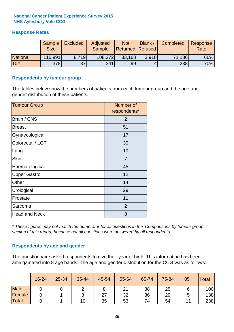#### **Response Rates**

|                 | Sample<br><b>Size</b> | <b>Excluded</b> | Adjusted<br><b>Sample</b> | <b>Not</b><br><b>Returned Refused</b> | Blank / | Completed | Response<br>Rate |
|-----------------|-----------------------|-----------------|---------------------------|---------------------------------------|---------|-----------|------------------|
| <b>National</b> | 116,991               | 8.719           | 108,272                   | 33,168                                | 3.918   | 71,186    | 66%              |
| <b>10Y</b>      | <b>378</b>            | 37              | 341                       | 99                                    |         | 238       | 70%              |

#### **Respondents by tumour group**

The tables below show the numbers of patients from each tumour group and the age and gender distribution of these patients.

| <b>Tumour Group</b>  | Number of<br>respondents* |
|----------------------|---------------------------|
| Brain / CNS          | $\overline{2}$            |
| <b>Breast</b>        | 51                        |
| Gynaecological       | 17                        |
| Colorectal / LGT     | 30                        |
| Lung                 | 10                        |
| <b>Skin</b>          | 7                         |
| Haematological       | 45                        |
| <b>Upper Gastro</b>  | 12                        |
| Other                | 14                        |
| Urological           | 29                        |
| Prostate             | 11                        |
| Sarcoma              | $\overline{2}$            |
| <b>Head and Neck</b> | 8                         |

*\* These figures may not match the numerator for all questions in the 'Comparisons by tumour group' section of this report, because not all questions were answered by all respondents.*

#### **Respondents by age and gender**

The questionnaire asked respondents to give their year of birth. This information has been amalgamated into 8 age bands. The age and gender distribution for the CCG was as follows:

|             | 16-24 | 25-34 | 35-44 | 45-54 | 55-64 | 65-74 | 75-84 | $85+$ | Total |
|-------------|-------|-------|-------|-------|-------|-------|-------|-------|-------|
| <b>Male</b> |       |       |       | O     | 21    | 38    | 25    |       | 100   |
| Female      |       |       |       | 27    | 32    | 36    | 29    |       | 138   |
| Total       |       |       | 10    | 35    | 53    | 74    | 54    |       | 238   |